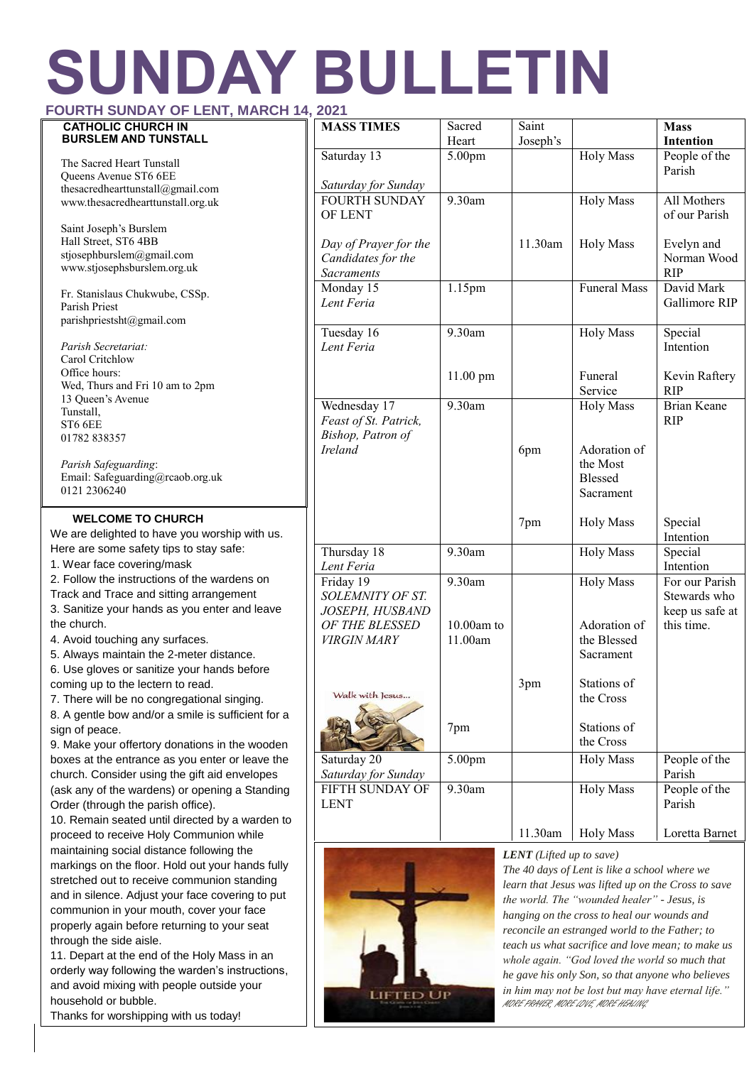# **SUNDAY BULLETIN**

**FOURTH SUNDAY OF LENT, MARCH 14, 2021 CATHOLIC CHURCH IN MASS TIMES** Sacred **Mass**  Saint  **BURSLEM AND TUNSTALL** Heart Joseph's **Intention** Saturday 13 5.00pm | Holy Mass | People of the The Sacred Heart Tunstall Parish Queens Avenue ST6 6EE *Saturday for Sunday* thesacredhearttunstall@gmail.com Holy Mass FOURTH SUNDAY 9.30am All Mothers www.thesacredhearttunstall.org.uk OF LENT of our Parish Saint Joseph's Burslem Hall Street, ST6 4BB *Day of Prayer for the*  11.30am Holy Mass Evelyn and stjosephburslem@gmail.com Norman Wood *Candidates for the*  www.stjosephsburslem.org.uk RIP *Sacraments* 1.15pm Funeral Mass David Mark Monday 15 Fr. Stanislaus Chukwube, CSSp. *Lent Feria* Gallimore RIP Parish Priest parishpriestsht@gmail.com Tuesday 16 9.30am Holy Mass Special  *Parish Secretariat: Lent Feria* Intention Carol Critchlow Office hours: 11.00 pm Funeral Kevin Raftery Wed, Thurs and Fri 10 am to 2pm Service RIP 13 Queen's Avenue Wednesday 17 9.30am Holy Mass Brian Keane Tunstall, *Feast of St. Patrick,*  RIP ST6 6EE *Bishop, Patron of*  01782 838357 Adoration of *Ireland* 6pm the Most *Parish Safeguarding*: Email: Safeguarding@rcaob.org.uk Blessed 0121 2306240 Sacrament  **WELCOME TO CHURCH** 7pm Holy Mass Special We are delighted to have you worship with us. Intention Here are some safety tips to stay safe: 9.30am Holy Mass Special Thursday 18 1. Wear face covering/mask *Lent Feria* Intention 2. Follow the instructions of the wardens on Friday 19 9.30am Holy Mass For our Parish Track and Trace and sitting arrangement *SOLEMNITY OF ST.*  Stewards who 3. Sanitize your hands as you enter and leave *JOSEPH, HUSBAND*  keep us safe at the church. *OF THE BLESSED*  10.00am to Adoration of this time. 4. Avoid touching any surfaces. *VIRGIN MARY* 11.00am the Blessed 5. Always maintain the 2-meter distance. Sacrament 6. Use gloves or sanitize your hands before coming up to the lectern to read. 3pm Stations of Walk with lesus. the Cross 7. There will be no congregational singing. 8. A gentle bow and/or a smile is sufficient for a Stations of 7pm sign of peace. the Cross 9. Make your offertory donations in the wooden 5.00pm Holy Mass People of the boxes at the entrance as you enter or leave the Saturday 20 *Saturday for Sunday* Parish church. Consider using the gift aid envelopes FIFTH SUNDAY OF 9.30am People of the (ask any of the wardens) or opening a Standing Holy Mass LENT Parish Order (through the parish office). 10. Remain seated until directed by a warden to 11.30am Loretta Barnet Holy Mass proceed to receive Holy Communion while maintaining social distance following the *LENT (Lifted up to save)* markings on the floor. Hold out your hands fully



*The 40 days of Lent is like a school where we learn that Jesus was lifted up on the Cross to save the world. The "wounded healer" - Jesus, is hanging on the cross to heal our wounds and reconcile an estranged world to the Father; to teach us what sacrifice and love mean; to make us whole again. "God loved the world so much that he gave his only Son, so that anyone who believes in him may not be lost but may have eternal life."* MORE PRAYER, MORE LOVE, MORE HEALING.

Thanks for worshipping with us today!

through the side aisle.

household or bubble.

attention to as

stretched out to receive communion standing and in silence. Adjust your face covering to put communion in your mouth, cover your face properly again before returning to your seat

11. Depart at the end of the Holy Mass in an orderly way following the warden's instructions, and avoid mixing with people outside your